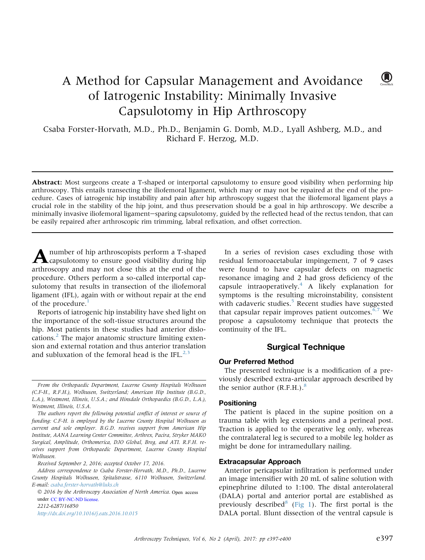# A Method for Capsular Management and Avoidance of Iatrogenic Instability: Minimally Invasive Capsulotomy in Hip Arthroscopy

Csaba Forster-Horvath, M.D., Ph.D., Benjamin G. Domb, M.D., Lyall Ashberg, M.D., and Richard F. Herzog, M.D.

Abstract: Most surgeons create a T-shaped or interportal capsulotomy to ensure good visibility when performing hip arthroscopy. This entails transecting the iliofemoral ligament, which may or may not be repaired at the end of the procedure. Cases of iatrogenic hip instability and pain after hip arthroscopy suggest that the iliofemoral ligament plays a crucial role in the stability of the hip joint, and thus preservation should be a goal in hip arthroscopy. We describe a minimally invasive iliofemoral ligament-sparing capsulotomy, guided by the reflected head of the rectus tendon, that can be easily repaired after arthroscopic rim trimming, labral refixation, and offset correction.

A number of hip arthroscopists perform a T-shaped<br>capsulotomy to ensure good visibility during hip<br>arthroscopy and may not close this at the end of the<br>procedure. Others perform a so-called interportal capcapsulotomy to ensure good visibility during hip arthroscopy and may not close this at the end of the procedure. Others perform a so-called interportal capsulotomy that results in transection of the iliofemoral ligament (IFL), again with or without repair at the end of the procedure.<sup>[1](#page-3-0)</sup>

Reports of iatrogenic hip instability have shed light on the importance of the soft-tissue structures around the hip. Most patients in these studies had anterior dislocations.[2](#page-3-0) The major anatomic structure limiting extension and external rotation and thus anterior translation and subluxation of the femoral head is the IFL. $^{2,3}$ 

 2016 by the Arthroscopy Association of North America. Open access 2212-6287/16850 <http://dx.doi.org/10.1016/j.eats.2016.10.015> under [CC BY-NC-ND license.](http://creativecommons.org/licenses/by-nc-nd/4.0/)

In a series of revision cases excluding those with residual femoroacetabular impingement, 7 of 9 cases were found to have capsular defects on magnetic resonance imaging and 2 had gross deficiency of the capsule intraoperatively. $4$  A likely explanation for symptoms is the resulting microinstability, consistent with cadaveric studies.<sup>5</sup> Recent studies have suggested that capsular repair improves patient outcomes. $6.7$  We propose a capsulotomy technique that protects the continuity of the IFL.

# Surgical Technique

# Our Preferred Method

The presented technique is a modification of a previously described extra-articular approach described by the senior author  $(R.F.H.)$ .<sup>8</sup>

# Positioning

The patient is placed in the supine position on a trauma table with leg extensions and a perineal post. Traction is applied to the operative leg only, whereas the contralateral leg is secured to a mobile leg holder as might be done for intramedullary nailing.

### Extracapsular Approach

Anterior pericapsular infiltration is performed under an image intensifier with 20 mL of saline solution with epinephrine diluted to 1:100. The distal anterolateral (DALA) portal and anterior portal are established as previously described<sup>[8](#page-3-0)</sup> ([Fig 1\)](#page-1-0). The first portal is the DALA portal. Blunt dissection of the ventral capsule is

 $\mathbf{U}$ 

From the Orthopaedic Department, Lucerne County Hospitals Wolhusen (C.F-H., R.F.H.), Wolhusen, Switzerland; American Hip Institute (B.G.D., L.A.), Westmont, Illinois, U.S.A.; and Hinsdale Orthopaedics (B.G.D., L.A.), Westmont, Illinois, U.S.A.

The authors report the following potential conflict of interest or source of funding: C.F-H. is employed by the Lucerne County Hospital Wolhusen as current and sole employer. B.G.D. receives support from American Hip Institute, AANA Learning Center Committee, Arthrex, Pacira, Stryker MAKO Surgical, Amplitude, Orthomerica, DJO Global, Breg, and ATI. R.F.H. receives support from Orthopaedic Department, Lucerne County Hospital Wolhusen.

Received September 2, 2016; accepted October 17, 2016.

Address correspondence to Csaba Forster-Horvath, M.D., Ph.D., Lucerne County Hospitals Wolhusen, Spitalstrasse, 6110 Wolhusen, Switzerland. E-mail: [csaba.forster-horvath@luks.ch](mailto:csaba.forster-horvath@luks.ch)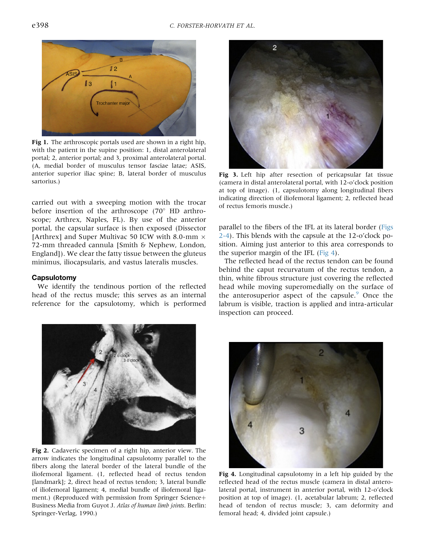<span id="page-1-0"></span>

Fig 1. The arthroscopic portals used are shown in a right hip, with the patient in the supine position: 1, distal anterolateral portal; 2, anterior portal; and 3, proximal anterolateral portal. (A, medial border of musculus tensor fasciae latae; ASIS, anterior superior iliac spine; B, lateral border of musculus sartorius.)

carried out with a sweeping motion with the trocar before insertion of the arthroscope (70 $\degree$  HD arthroscope; Arthrex, Naples, FL). By use of the anterior portal, the capsular surface is then exposed (Dissector [Arthrex] and Super Multivac 50 ICW with 8.0-mm  $\times$ 72-mm threaded cannula [Smith & Nephew, London, England]). We clear the fatty tissue between the gluteus minimus, iliocapsularis, and vastus lateralis muscles.

# **Capsulotomy**

We identify the tendinous portion of the reflected head of the rectus muscle; this serves as an internal reference for the capsulotomy, which is performed



Fig 2. Cadaveric specimen of a right hip, anterior view. The arrow indicates the longitudinal capsulotomy parallel to the fibers along the lateral border of the lateral bundle of the iliofemoral ligament. (1, reflected head of rectus tendon [landmark]; 2, direct head of rectus tendon; 3, lateral bundle of iliofemoral ligament; 4, medial bundle of iliofemoral ligament.) (Reproduced with permission from Springer Science+ Business Media from Guyot J. Atlas of human limb joints. Berlin: Springer-Verlag, 1990.)



Fig 3. Left hip after resection of pericapsular fat tissue (camera in distal anterolateral portal, with 12-o'clock position at top of image). (1, capsulotomy along longitudinal fibers indicating direction of iliofemoral ligament; 2, reflected head of rectus femoris muscle.)

parallel to the fibers of the IFL at its lateral border (Figs 2-4). This blends with the capsule at the 12-o'clock position. Aiming just anterior to this area corresponds to the superior margin of the IFL (Fig 4).

The reflected head of the rectus tendon can be found behind the caput recurvatum of the rectus tendon, a thin, white fibrous structure just covering the reflected head while moving superomedially on the surface of the anterosuperior aspect of the capsule. $9$  Once the labrum is visible, traction is applied and intra-articular inspection can proceed.



Fig 4. Longitudinal capsulotomy in a left hip guided by the reflected head of the rectus muscle (camera in distal anterolateral portal, instrument in anterior portal, with 12-o'clock position at top of image). (1, acetabular labrum; 2, reflected head of tendon of rectus muscle; 3, cam deformity and femoral head; 4, divided joint capsule.)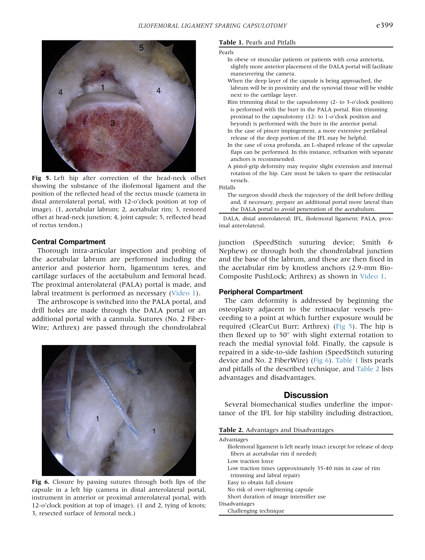

Fig 5. Left hip after correction of the head-neck offset showing the substance of the iliofemoral ligament and the position of the reflected head of the rectus muscle (camera in distal anterolateral portal, with 12-o'clock position at top of image). (1, acetabular labrum; 2, acetabular rim; 3, restored offset at head-neck junction; 4, joint capsule; 5, reflected head of rectus tendon.)

# Central Compartment

Thorough intra-articular inspection and probing of the acetabular labrum are performed including the anterior and posterior horn, ligamentum teres, and cartilage surfaces of the acetabulum and femoral head. The proximal anterolateral (PALA) portal is made, and labral treatment is performed as necessary (Video 1).

The arthroscope is switched into the PALA portal, and drill holes are made through the DALA portal or an additional portal with a cannula. Sutures (No. 2 Fiber-Wire; Arthrex) are passed through the chondrolabral



Fig 6. Closure by passing sutures through both lips of the capsule in a left hip (camera in distal anterolateral portal, instrument in anterior or proximal anterolateral portal, with 12-o'clock position at top of image). (1 and 2, tying of knots; 3, resected surface of femoral neck.)

### Table 1. Pearls and Pitfalls

#### Pearls

- In obese or muscular patients or patients with coxa antetorta, slightly more anterior placement of the DALA portal will facilitate maneuvering the camera.
- When the deep layer of the capsule is being approached, the labrum will be in proximity and the synovial tissue will be visible next to the cartilage layer.
- Rim trimming distal to the capsulotomy (2- to 3-o'clock position) is performed with the burr in the PALA portal. Rim trimming proximal to the capsulotomy (12- to 1-o'clock position and beyond) is performed with the burr in the anterior portal.
- In the case of pincer impingement, a more extensive perilabral release of the deep portion of the IFL may be helpful.
- In the case of coxa profunda, an L-shaped release of the capsular flaps can be performed. In this instance, refixation with separate anchors is recommended.
- A pistol-grip deformity may require slight extension and internal rotation of the hip. Care must be taken to spare the retinacular vessels.

#### Pitfalls

The surgeon should check the trajectory of the drill before drilling and, if necessary, prepare an additional portal more lateral than the DALA portal to avoid penetration of the acetabulum.

DALA, distal anterolateral; IFL, iliofemoral ligament; PALA, proximal anterolateral.

junction (SpeedStitch suturing device; Smith & Nephew) or through both the chondrolabral junction and the base of the labrum, and these are then fixed in the acetabular rim by knotless anchors (2.9-mm Bio-Composite PushLock; Arthrex) as shown in Video 1.

## Peripheral Compartment

The cam deformity is addressed by beginning the osteoplasty adjacent to the retinacular vessels proceeding to a point at which further exposure would be required (ClearCut Burr; Arthrex) (Fig 5). The hip is then flexed up to  $50^{\circ}$  with slight external rotation to reach the medial synovial fold. Finally, the capsule is repaired in a side-to-side fashion (SpeedStitch suturing device and No. 2 FiberWire) (Fig 6). Table 1 lists pearls and pitfalls of the described technique, and Table 2 lists advantages and disadvantages.

# **Discussion**

Several biomechanical studies underline the importance of the IFL for hip stability including distraction,

|  |  | Table 2. Advantages and Disadvantages |
|--|--|---------------------------------------|
|  |  |                                       |

| Advantages                                                             |
|------------------------------------------------------------------------|
| Iliofemoral ligament is left nearly intact (except for release of deep |
| fibers at acetabular rim if needed)                                    |
| Low traction force                                                     |
| Low traction times (approximately 35-40 min in case of rim             |
| trimming and labral repair)                                            |
| Easy to obtain full closure                                            |
| No risk of over-tightening capsule                                     |
| Short duration of image intensifier use                                |
| Disadvantages                                                          |
| Challenging technique                                                  |